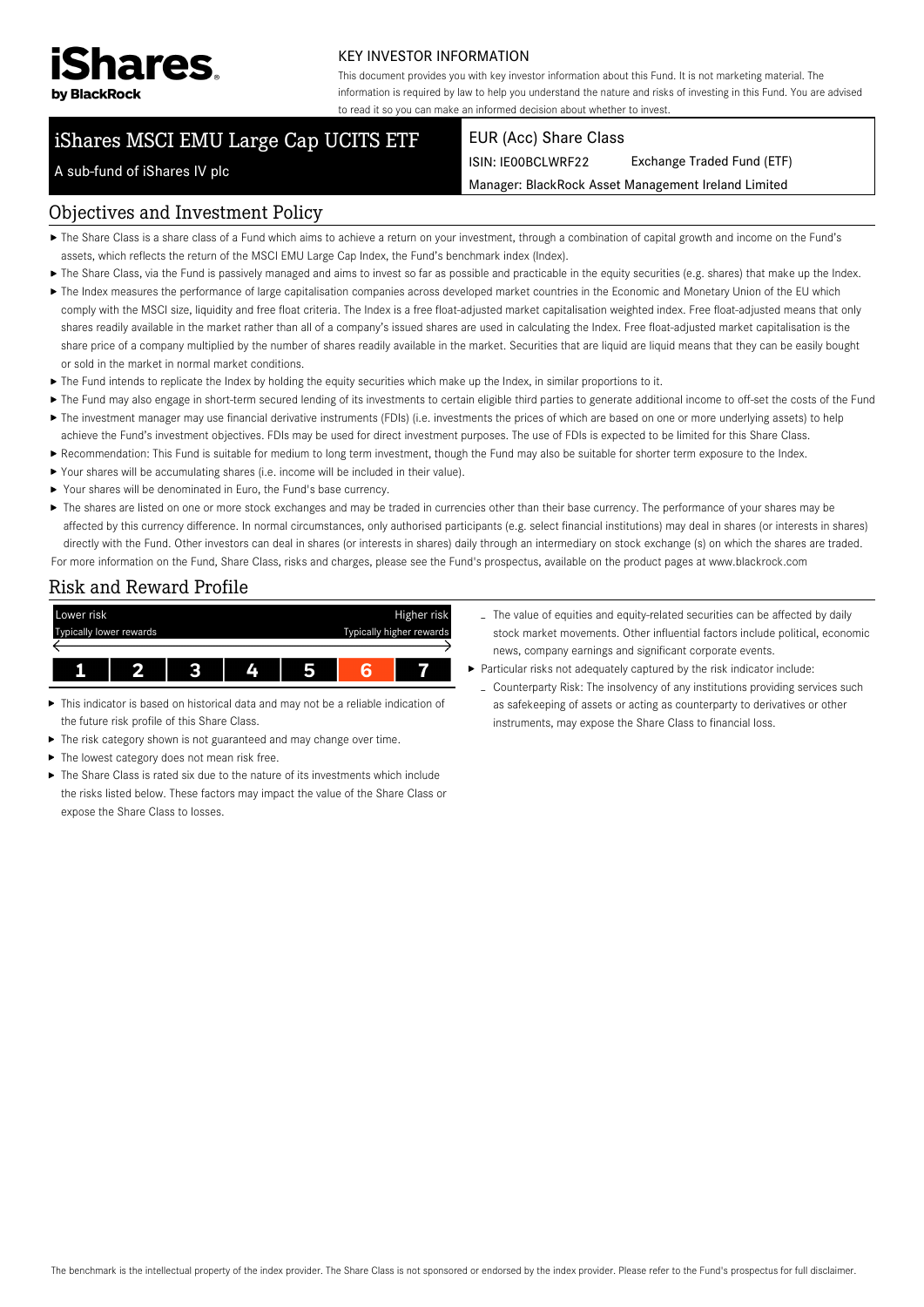

#### KEY INVESTOR INFORMATION

This document provides you with key investor information about this Fund. It is not marketing material. The information is required by law to help you understand the nature and risks of investing in this Fund. You are advised to read it so you can make an informed decision about whether to invest.

# iShares MSCI EMU Large Cap UCITS ETF

#### EUR (Acc) Share Class

ISIN: IE00BCLWRF22 Exchange Traded Fund (ETF)

Manager: BlackRock Asset Management Ireland Limited

# A sub-fund of iShares IV plc

#### Objectives and Investment Policy

- The Share Class is a share class of a Fund which aims to achieve a return on your investment, through a combination of capital growth and income on the Fund's assets, which reflects the return of the MSCI EMU Large Cap Index, the Fund's benchmark index (Index).
- ▶ The Share Class, via the Fund is passively managed and aims to invest so far as possible and practicable in the equity securities (e.g. shares) that make up the Index.
- ▶ The Index measures the performance of large capitalisation companies across developed market countries in the Economic and Monetary Union of the EU which comply with the MSCI size, liquidity and free float criteria. The Index is a free float-adjusted market capitalisation weighted index. Free float-adjusted means that only shares readily available in the market rather than all of a company's issued shares are used in calculating the Index. Free float-adjusted market capitalisation is the share price of a company multiplied by the number of shares readily available in the market. Securities that are liquid are liquid means that they can be easily bought or sold in the market in normal market conditions.
- The Fund intends to replicate the Index by holding the equity securities which make up the Index, in similar proportions to it.
- ▶ The Fund may also engage in short-term secured lending of its investments to certain eligible third parties to generate additional income to off-set the costs of the Fund ▶ The investment manager may use financial derivative instruments (FDIs) (i.e. investments the prices of which are based on one or more underlying assets) to help
- achieve the Fund's investment objectives. FDIs may be used for direct investment purposes. The use of FDIs is expected to be limited for this Share Class. Recommendation: This Fund is suitable for medium to long term investment, though the Fund may also be suitable for shorter term exposure to the Index.
- Your shares will be accumulating shares (i.e. income will be included in their value).
- Your shares will be denominated in Euro, the Fund's base currency.
- ▶ The shares are listed on one or more stock exchanges and may be traded in currencies other than their base currency. The performance of your shares may be affected by this currency difference. In normal circumstances, only authorised participants (e.g. select financial institutions) may deal in shares (or interests in shares) directly with the Fund. Other investors can deal in shares (or interests in shares) daily through an intermediary on stock exchange (s) on which the shares are traded. For more information on the Fund, Share Class, risks and charges, please see the Fund's prospectus, available on the product pages at www.blackrock.com

## Risk and Reward Profile



- This indicator is based on historical data and may not be a reliable indication of ь the future risk profile of this Share Class.
- The risk category shown is not guaranteed and may change over time.
- The lowest category does not mean risk free. ь
- The Share Class is rated six due to the nature of its investments which include the risks listed below. These factors may impact the value of the Share Class or expose the Share Class to losses.
- The value of equities and equity-related securities can be affected by daily stock market movements. Other influential factors include political, economic news, company earnings and significant corporate events.
- Particular risks not adequately captured by the risk indicator include:
	- Counterparty Risk: The insolvency of any institutions providing services such as safekeeping of assets or acting as counterparty to derivatives or other instruments, may expose the Share Class to financial loss.